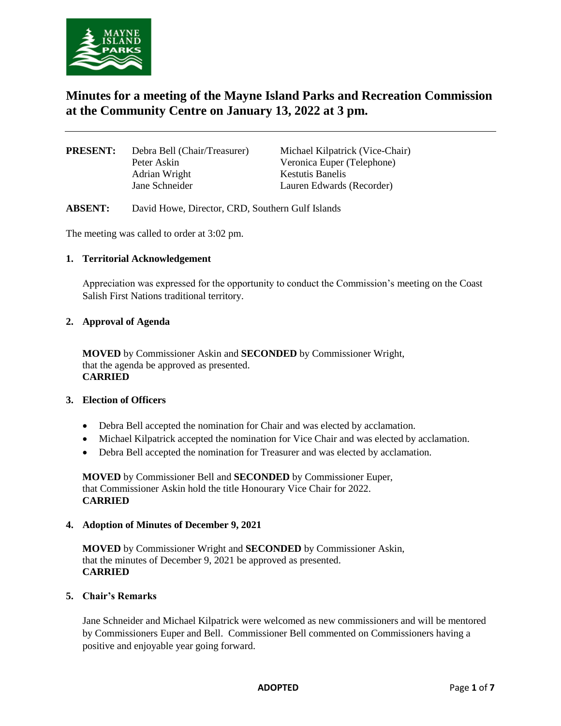

# **Minutes for a meeting of the Mayne Island Parks and Recreation Commission at the Community Centre on January 13, 2022 at 3 pm.**

| <b>PRESENT:</b> | Debra Bell (Chair/Treasurer) | Michael Kilpatrick (Vice-Chair) |
|-----------------|------------------------------|---------------------------------|
|                 | Peter Askin                  | Veronica Euper (Telephone)      |
|                 | Adrian Wright                | <b>Kestutis Banelis</b>         |
|                 | Jane Schneider               | Lauren Edwards (Recorder)       |
|                 |                              |                                 |

**ABSENT:** David Howe, Director, CRD, Southern Gulf Islands

The meeting was called to order at 3:02 pm.

#### **1. Territorial Acknowledgement**

Appreciation was expressed for the opportunity to conduct the Commission's meeting on the Coast Salish First Nations traditional territory.

#### **2. Approval of Agenda**

**MOVED** by Commissioner Askin and **SECONDED** by Commissioner Wright, that the agenda be approved as presented. **CARRIED**

# **3. Election of Officers**

- Debra Bell accepted the nomination for Chair and was elected by acclamation.
- Michael Kilpatrick accepted the nomination for Vice Chair and was elected by acclamation.
- Debra Bell accepted the nomination for Treasurer and was elected by acclamation.

**MOVED** by Commissioner Bell and **SECONDED** by Commissioner Euper, that Commissioner Askin hold the title Honourary Vice Chair for 2022. **CARRIED**

#### **4. Adoption of Minutes of December 9, 2021**

**MOVED** by Commissioner Wright and **SECONDED** by Commissioner Askin, that the minutes of December 9, 2021 be approved as presented. **CARRIED**

#### **5. Chair's Remarks**

Jane Schneider and Michael Kilpatrick were welcomed as new commissioners and will be mentored by Commissioners Euper and Bell. Commissioner Bell commented on Commissioners having a positive and enjoyable year going forward.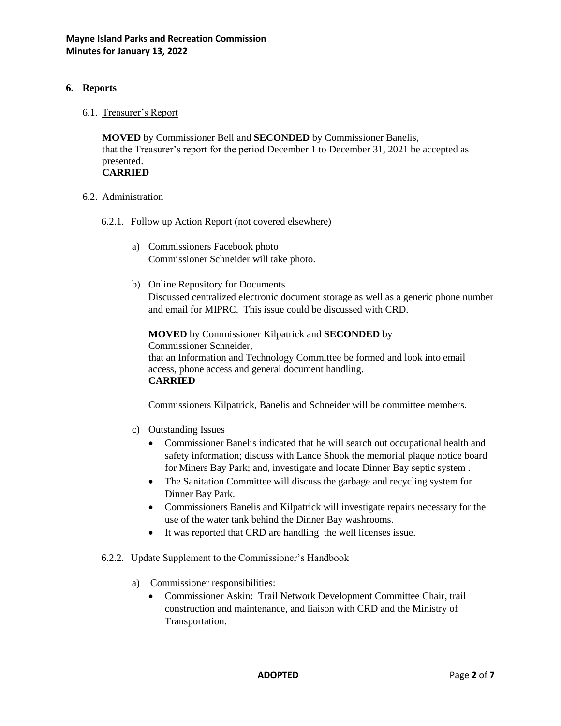# **6. Reports**

6.1. Treasurer's Report

**MOVED** by Commissioner Bell and **SECONDED** by Commissioner Banelis, that the Treasurer's report for the period December 1 to December 31, 2021 be accepted as presented. **CARRIED**

#### 6.2. Administration

- 6.2.1. Follow up Action Report (not covered elsewhere)
	- a) Commissioners Facebook photo Commissioner Schneider will take photo.
	- b) Online Repository for Documents Discussed centralized electronic document storage as well as a generic phone number and email for MIPRC. This issue could be discussed with CRD.

**MOVED** by Commissioner Kilpatrick and **SECONDED** by Commissioner Schneider, that an Information and Technology Committee be formed and look into email access, phone access and general document handling. **CARRIED**

Commissioners Kilpatrick, Banelis and Schneider will be committee members.

- c) Outstanding Issues
	- Commissioner Banelis indicated that he will search out occupational health and safety information; discuss with Lance Shook the memorial plaque notice board for Miners Bay Park; and, investigate and locate Dinner Bay septic system .
	- The Sanitation Committee will discuss the garbage and recycling system for Dinner Bay Park.
	- Commissioners Banelis and Kilpatrick will investigate repairs necessary for the use of the water tank behind the Dinner Bay washrooms.
	- It was reported that CRD are handling the well licenses issue.
- 6.2.2. Update Supplement to the Commissioner's Handbook
	- a) Commissioner responsibilities:
		- Commissioner Askin: Trail Network Development Committee Chair, trail construction and maintenance, and liaison with CRD and the Ministry of Transportation.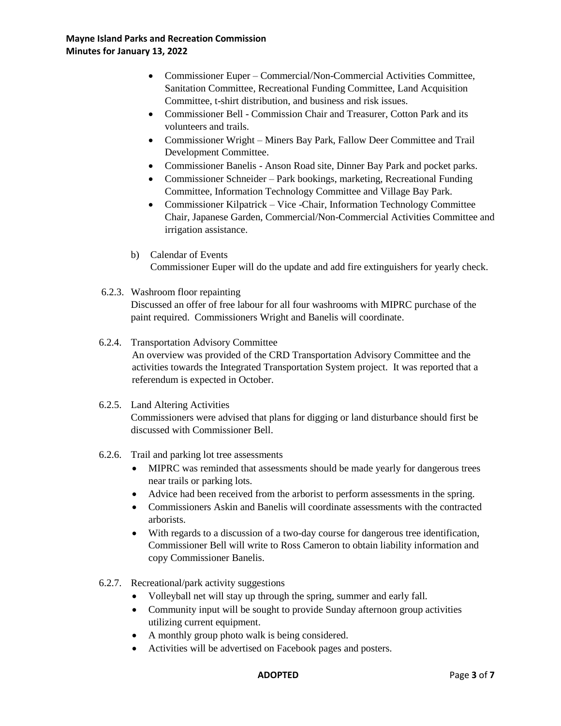# **Mayne Island Parks and Recreation Commission Minutes for January 13, 2022**

- Commissioner Euper Commercial/Non-Commercial Activities Committee, Sanitation Committee, Recreational Funding Committee, Land Acquisition Committee, t-shirt distribution, and business and risk issues.
- Commissioner Bell Commission Chair and Treasurer, Cotton Park and its volunteers and trails.
- Commissioner Wright Miners Bay Park, Fallow Deer Committee and Trail Development Committee.
- Commissioner Banelis Anson Road site, Dinner Bay Park and pocket parks.
- Commissioner Schneider Park bookings, marketing, Recreational Funding Committee, Information Technology Committee and Village Bay Park.
- Commissioner Kilpatrick Vice -Chair, Information Technology Committee Chair, Japanese Garden, Commercial/Non-Commercial Activities Committee and irrigation assistance.
- b) Calendar of Events Commissioner Euper will do the update and add fire extinguishers for yearly check.
- 6.2.3. Washroom floor repainting Discussed an offer of free labour for all four washrooms with MIPRC purchase of the paint required. Commissioners Wright and Banelis will coordinate.
- 6.2.4. Transportation Advisory Committee

An overview was provided of the CRD Transportation Advisory Committee and the activities towards the Integrated Transportation System project. It was reported that a referendum is expected in October.

6.2.5. Land Altering Activities

Commissioners were advised that plans for digging or land disturbance should first be discussed with Commissioner Bell.

- 6.2.6. Trail and parking lot tree assessments
	- MIPRC was reminded that assessments should be made yearly for dangerous trees near trails or parking lots.
	- Advice had been received from the arborist to perform assessments in the spring.
	- Commissioners Askin and Banelis will coordinate assessments with the contracted arborists.
	- With regards to a discussion of a two-day course for dangerous tree identification, Commissioner Bell will write to Ross Cameron to obtain liability information and copy Commissioner Banelis.
- 6.2.7. Recreational/park activity suggestions
	- Volleyball net will stay up through the spring, summer and early fall.
	- Community input will be sought to provide Sunday afternoon group activities utilizing current equipment.
	- A monthly group photo walk is being considered.
	- Activities will be advertised on Facebook pages and posters.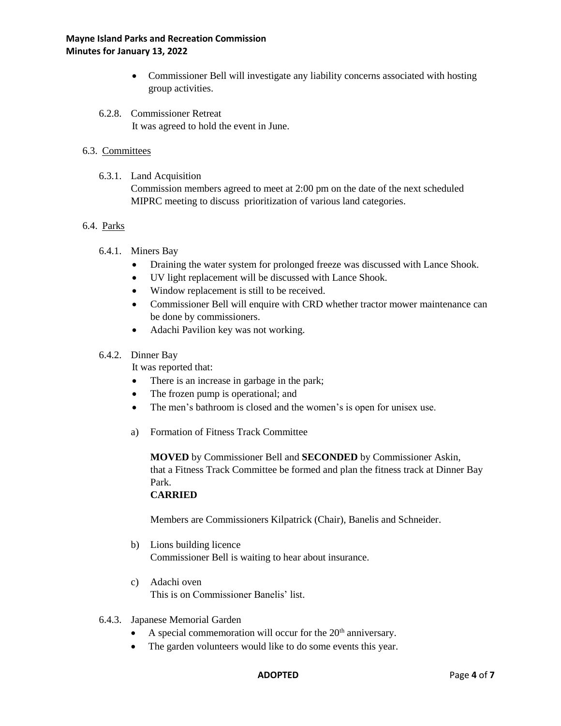- Commissioner Bell will investigate any liability concerns associated with hosting group activities.
- 6.2.8. Commissioner Retreat It was agreed to hold the event in June.

# 6.3. Committees

6.3.1. Land Acquisition

Commission members agreed to meet at 2:00 pm on the date of the next scheduled MIPRC meeting to discuss prioritization of various land categories.

### 6.4. Parks

- 6.4.1. Miners Bay
	- Draining the water system for prolonged freeze was discussed with Lance Shook.
	- UV light replacement will be discussed with Lance Shook.
	- Window replacement is still to be received.
	- Commissioner Bell will enquire with CRD whether tractor mower maintenance can be done by commissioners.
	- Adachi Pavilion key was not working.

#### 6.4.2. Dinner Bay

It was reported that:

- There is an increase in garbage in the park;
- The frozen pump is operational; and
- The men's bathroom is closed and the women's is open for unisex use.
- a) Formation of Fitness Track Committee

**MOVED** by Commissioner Bell and **SECONDED** by Commissioner Askin, that a Fitness Track Committee be formed and plan the fitness track at Dinner Bay Park.

# **CARRIED**

Members are Commissioners Kilpatrick (Chair), Banelis and Schneider.

- b) Lions building licence Commissioner Bell is waiting to hear about insurance.
- c) Adachi oven This is on Commissioner Banelis' list.
- 6.4.3. Japanese Memorial Garden
	- A special commemoration will occur for the  $20<sup>th</sup>$  anniversary.
	- The garden volunteers would like to do some events this year.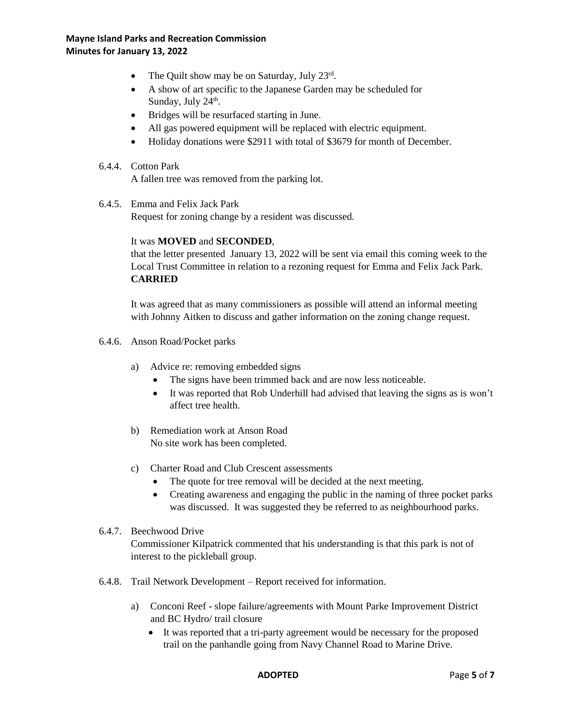- The Quilt show may be on Saturday, July  $23^{\text{rd}}$ .
- A show of art specific to the Japanese Garden may be scheduled for Sunday, July 24<sup>th</sup>.
- Bridges will be resurfaced starting in June.
- All gas powered equipment will be replaced with electric equipment.
- Holiday donations were \$2911 with total of \$3679 for month of December.

# 6.4.4. Cotton Park

A fallen tree was removed from the parking lot.

6.4.5. Emma and Felix Jack Park

Request for zoning change by a resident was discussed.

#### It was **MOVED** and **SECONDED**,

that the letter presented January 13, 2022 will be sent via email this coming week to the Local Trust Committee in relation to a rezoning request for Emma and Felix Jack Park. **CARRIED**

It was agreed that as many commissioners as possible will attend an informal meeting with Johnny Aitken to discuss and gather information on the zoning change request.

- 6.4.6. Anson Road/Pocket parks
	- a) Advice re: removing embedded signs
		- The signs have been trimmed back and are now less noticeable.
		- It was reported that Rob Underhill had advised that leaving the signs as is won't affect tree health.
	- b) Remediation work at Anson Road No site work has been completed.
	- c) Charter Road and Club Crescent assessments
		- The quote for tree removal will be decided at the next meeting.
		- Creating awareness and engaging the public in the naming of three pocket parks was discussed. It was suggested they be referred to as neighbourhood parks.

# 6.4.7. Beechwood Drive

Commissioner Kilpatrick commented that his understanding is that this park is not of interest to the pickleball group.

- 6.4.8. Trail Network Development Report received for information.
	- a) Conconi Reef slope failure/agreements with Mount Parke Improvement District and BC Hydro/ trail closure
		- It was reported that a tri-party agreement would be necessary for the proposed trail on the panhandle going from Navy Channel Road to Marine Drive.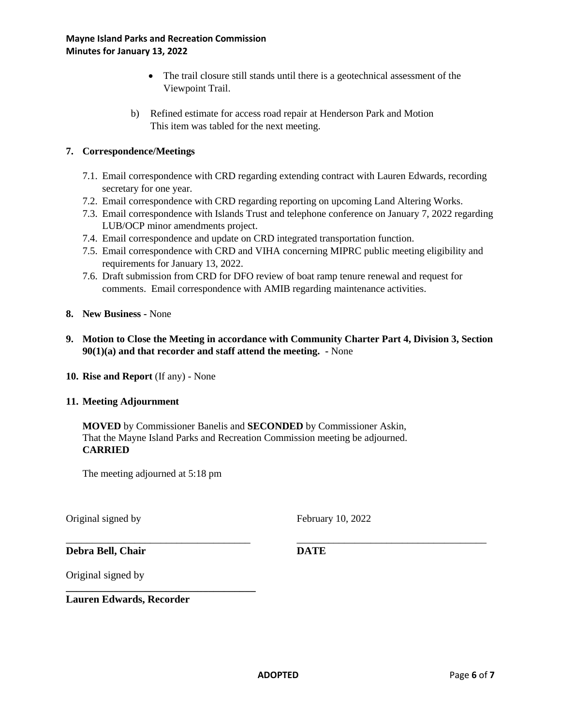- The trail closure still stands until there is a geotechnical assessment of the Viewpoint Trail.
- b) Refined estimate for access road repair at Henderson Park and Motion This item was tabled for the next meeting.

# **7. Correspondence/Meetings**

- 7.1. Email correspondence with CRD regarding extending contract with Lauren Edwards, recording secretary for one year.
- 7.2. Email correspondence with CRD regarding reporting on upcoming Land Altering Works.
- 7.3. Email correspondence with Islands Trust and telephone conference on January 7, 2022 regarding LUB/OCP minor amendments project.
- 7.4. Email correspondence and update on CRD integrated transportation function.
- 7.5. Email correspondence with CRD and VIHA concerning MIPRC public meeting eligibility and requirements for January 13, 2022.
- 7.6. Draft submission from CRD for DFO review of boat ramp tenure renewal and request for comments. Email correspondence with AMIB regarding maintenance activities.
- **8. New Business -** None
- **9. Motion to Close the Meeting in accordance with Community Charter Part 4, Division 3, Section 90(1)(a) and that recorder and staff attend the meeting. -** None
- **10. Rise and Report** (If any) None

# **11. Meeting Adjournment**

**MOVED** by Commissioner Banelis and **SECONDED** by Commissioner Askin, That the Mayne Island Parks and Recreation Commission meeting be adjourned. **CARRIED**

The meeting adjourned at 5:18 pm

**\_\_\_\_\_\_\_\_\_\_\_\_\_\_\_\_\_\_\_\_\_\_\_\_\_\_\_\_\_\_\_\_\_\_\_\_**

Original signed by February 10, 2022

**Debra Bell, Chair DATE**

Original signed by

**Lauren Edwards, Recorder**

\_\_\_\_\_\_\_\_\_\_\_\_\_\_\_\_\_\_\_\_\_\_\_\_\_\_\_\_\_\_\_\_\_\_\_ \_\_\_\_\_\_\_\_\_\_\_\_\_\_\_\_\_\_\_\_\_\_\_\_\_\_\_\_\_\_\_\_\_\_\_\_